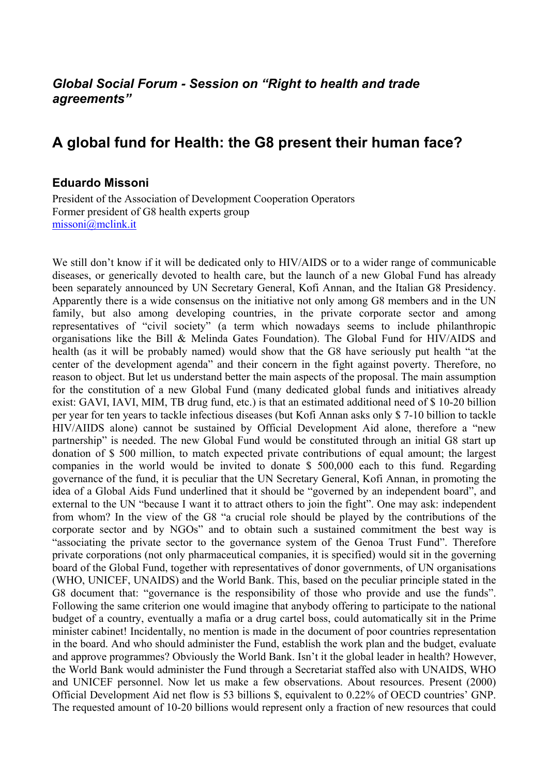## *Global Social Forum - Session on "Right to health and trade agreements"*

## **A global fund for Health: the G8 present their human face?**

## **Eduardo Missoni**

President of the Association of Development Cooperation Operators Former president of G8 health experts group [missoni@mclink.it](mailto:missoni@mclink.it)

We still don't know if it will be dedicated only to HIV/AIDS or to a wider range of communicable diseases, or generically devoted to health care, but the launch of a new Global Fund has already been separately announced by UN Secretary General, Kofi Annan, and the Italian G8 Presidency. Apparently there is a wide consensus on the initiative not only among G8 members and in the UN family, but also among developing countries, in the private corporate sector and among representatives of "civil society" (a term which nowadays seems to include philanthropic organisations like the Bill & Melinda Gates Foundation). The Global Fund for HIV/AIDS and health (as it will be probably named) would show that the G8 have seriously put health "at the center of the development agenda" and their concern in the fight against poverty. Therefore, no reason to object. But let us understand better the main aspects of the proposal. The main assumption for the constitution of a new Global Fund (many dedicated global funds and initiatives already exist: GAVI, IAVI, MIM, TB drug fund, etc.) is that an estimated additional need of \$ 10-20 billion per year for ten years to tackle infectious diseases (but Kofi Annan asks only \$ 7-10 billion to tackle HIV/AIIDS alone) cannot be sustained by Official Development Aid alone, therefore a "new partnership" is needed. The new Global Fund would be constituted through an initial G8 start up donation of \$ 500 million, to match expected private contributions of equal amount; the largest companies in the world would be invited to donate \$ 500,000 each to this fund. Regarding governance of the fund, it is peculiar that the UN Secretary General, Kofi Annan, in promoting the idea of a Global Aids Fund underlined that it should be "governed by an independent board", and external to the UN "because I want it to attract others to join the fight". One may ask: independent from whom? In the view of the G8 "a crucial role should be played by the contributions of the corporate sector and by NGOs" and to obtain such a sustained commitment the best way is "associating the private sector to the governance system of the Genoa Trust Fund". Therefore private corporations (not only pharmaceutical companies, it is specified) would sit in the governing board of the Global Fund, together with representatives of donor governments, of UN organisations (WHO, UNICEF, UNAIDS) and the World Bank. This, based on the peculiar principle stated in the G8 document that: "governance is the responsibility of those who provide and use the funds". Following the same criterion one would imagine that anybody offering to participate to the national budget of a country, eventually a mafia or a drug cartel boss, could automatically sit in the Prime minister cabinet! Incidentally, no mention is made in the document of poor countries representation in the board. And who should administer the Fund, establish the work plan and the budget, evaluate and approve programmes? Obviously the World Bank. Isn't it the global leader in health? However, the World Bank would administer the Fund through a Secretariat staffed also with UNAIDS, WHO and UNICEF personnel. Now let us make a few observations. About resources. Present (2000) Official Development Aid net flow is 53 billions \$, equivalent to 0.22% of OECD countries' GNP. The requested amount of 10-20 billions would represent only a fraction of new resources that could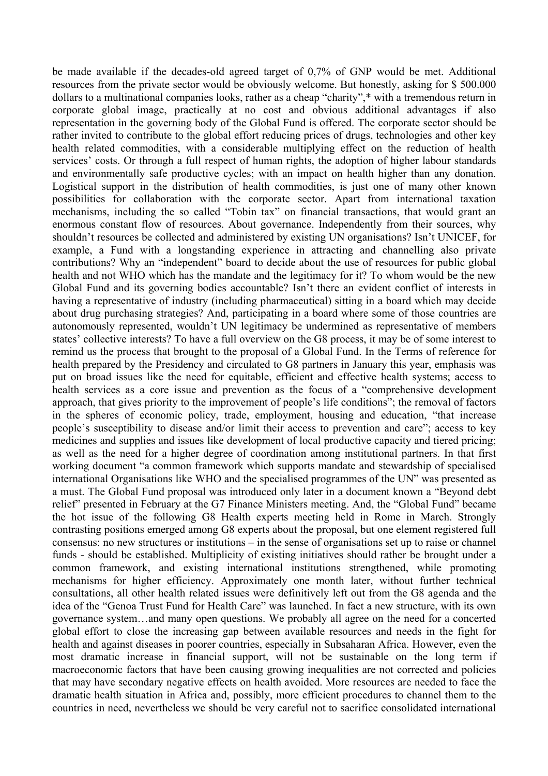be made available if the decades-old agreed target of 0,7% of GNP would be met. Additional resources from the private sector would be obviously welcome. But honestly, asking for \$ 500.000 dollars to a multinational companies looks, rather as a cheap "charity",\* with a tremendous return in corporate global image, practically at no cost and obvious additional advantages if also representation in the governing body of the Global Fund is offered. The corporate sector should be rather invited to contribute to the global effort reducing prices of drugs, technologies and other key health related commodities, with a considerable multiplying effect on the reduction of health services' costs. Or through a full respect of human rights, the adoption of higher labour standards and environmentally safe productive cycles; with an impact on health higher than any donation. Logistical support in the distribution of health commodities, is just one of many other known possibilities for collaboration with the corporate sector. Apart from international taxation mechanisms, including the so called "Tobin tax" on financial transactions, that would grant an enormous constant flow of resources. About governance. Independently from their sources, why shouldn't resources be collected and administered by existing UN organisations? Isn't UNICEF, for example, a Fund with a longstanding experience in attracting and channelling also private contributions? Why an "independent" board to decide about the use of resources for public global health and not WHO which has the mandate and the legitimacy for it? To whom would be the new Global Fund and its governing bodies accountable? Isn't there an evident conflict of interests in having a representative of industry (including pharmaceutical) sitting in a board which may decide about drug purchasing strategies? And, participating in a board where some of those countries are autonomously represented, wouldn't UN legitimacy be undermined as representative of members states' collective interests? To have a full overview on the G8 process, it may be of some interest to remind us the process that brought to the proposal of a Global Fund. In the Terms of reference for health prepared by the Presidency and circulated to G8 partners in January this year, emphasis was put on broad issues like the need for equitable, efficient and effective health systems; access to health services as a core issue and prevention as the focus of a "comprehensive development approach, that gives priority to the improvement of people's life conditions"; the removal of factors in the spheres of economic policy, trade, employment, housing and education, "that increase people's susceptibility to disease and/or limit their access to prevention and care"; access to key medicines and supplies and issues like development of local productive capacity and tiered pricing; as well as the need for a higher degree of coordination among institutional partners. In that first working document "a common framework which supports mandate and stewardship of specialised international Organisations like WHO and the specialised programmes of the UN" was presented as a must. The Global Fund proposal was introduced only later in a document known a "Beyond debt relief" presented in February at the G7 Finance Ministers meeting. And, the "Global Fund" became the hot issue of the following G8 Health experts meeting held in Rome in March. Strongly contrasting positions emerged among G8 experts about the proposal, but one element registered full consensus: no new structures or institutions – in the sense of organisations set up to raise or channel funds - should be established. Multiplicity of existing initiatives should rather be brought under a common framework, and existing international institutions strengthened, while promoting mechanisms for higher efficiency. Approximately one month later, without further technical consultations, all other health related issues were definitively left out from the G8 agenda and the idea of the "Genoa Trust Fund for Health Care" was launched. In fact a new structure, with its own governance system…and many open questions. We probably all agree on the need for a concerted global effort to close the increasing gap between available resources and needs in the fight for health and against diseases in poorer countries, especially in Subsaharan Africa. However, even the most dramatic increase in financial support, will not be sustainable on the long term if macroeconomic factors that have been causing growing inequalities are not corrected and policies that may have secondary negative effects on health avoided. More resources are needed to face the dramatic health situation in Africa and, possibly, more efficient procedures to channel them to the countries in need, nevertheless we should be very careful not to sacrifice consolidated international